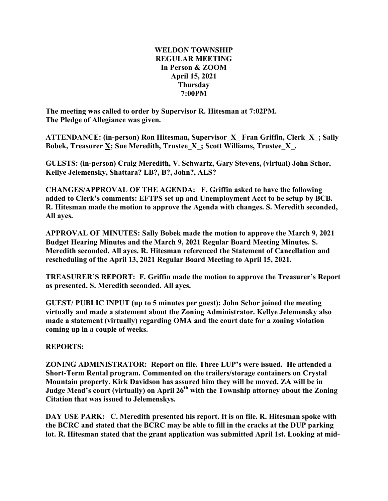## **WELDON TOWNSHIP REGULAR MEETING In Person & ZOOM April 15, 2021 Thursday 7:00PM**

**The meeting was called to order by Supervisor R. Hitesman at 7:02PM. The Pledge of Allegiance was given.**

**ATTENDANCE: (in-person) Ron Hitesman, Supervisor\_X\_ Fran Griffin, Clerk\_X\_; Sally Bobek, Treasurer X; Sue Meredith, Trustee\_X\_; Scott Williams, Trustee\_X\_.**

**GUESTS: (in-person) Craig Meredith, V. Schwartz, Gary Stevens, (virtual) John Schor, Kellye Jelemensky, Shattara? LB?, B?, John?, ALS?**

**CHANGES/APPROVAL OF THE AGENDA: F. Griffin asked to have the following added to Clerk's comments: EFTPS set up and Unemployment Acct to be setup by BCB. R. Hitesman made the motion to approve the Agenda with changes. S. Meredith seconded, All ayes.**

**APPROVAL OF MINUTES: Sally Bobek made the motion to approve the March 9, 2021 Budget Hearing Minutes and the March 9, 2021 Regular Board Meeting Minutes. S. Meredith seconded. All ayes. R. Hitesman referenced the Statement of Cancellation and rescheduling of the April 13, 2021 Regular Board Meeting to April 15, 2021.**

**TREASURER'S REPORT: F. Griffin made the motion to approve the Treasurer's Report as presented. S. Meredith seconded. All ayes.**

**GUEST/ PUBLIC INPUT (up to 5 minutes per guest): John Schor joined the meeting virtually and made a statement about the Zoning Administrator. Kellye Jelemensky also made a statement (virtually) regarding OMA and the court date for a zoning violation coming up in a couple of weeks.**

# **REPORTS:**

**ZONING ADMINISTRATOR: Report on file. Three LUP's were issued. He attended a Short-Term Rental program. Commented on the trailers/storage containers on Crystal Mountain property. Kirk Davidson has assured him they will be moved. ZA will be in Judge Mead's court (virtually) on April 26th with the Township attorney about the Zoning Citation that was issued to Jelemenskys.**

**DAY USE PARK: C. Meredith presented his report. It is on file. R. Hitesman spoke with the BCRC and stated that the BCRC may be able to fill in the cracks at the DUP parking lot. R. Hitesman stated that the grant application was submitted April 1st. Looking at mid-**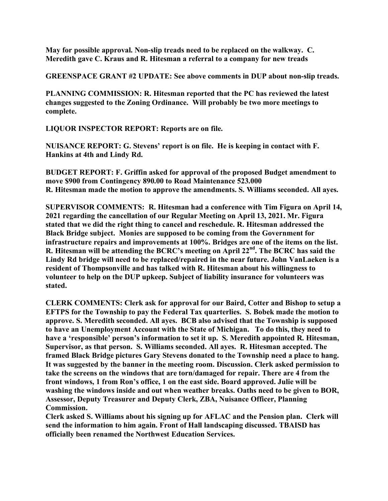**May for possible approval. Non-slip treads need to be replaced on the walkway. C. Meredith gave C. Kraus and R. Hitesman a referral to a company for new treads**

**GREENSPACE GRANT #2 UPDATE: See above comments in DUP about non-slip treads.**

**PLANNING COMMISSION: R. Hitesman reported that the PC has reviewed the latest changes suggested to the Zoning Ordinance. Will probably be two more meetings to complete.**

**LIQUOR INSPECTOR REPORT: Reports are on file.**

**NUISANCE REPORT: G. Stevens' report is on file. He is keeping in contact with F. Hankins at 4th and Lindy Rd.**

**BUDGET REPORT: F. Griffin asked for approval of the proposed Budget amendment to move \$900 from Contingency 890.00 to Road Maintenance 523.000 R. Hitesman made the motion to approve the amendments. S. Williams seconded. All ayes.**

**SUPERVISOR COMMENTS: R. Hitesman had a conference with Tim Figura on April 14, 2021 regarding the cancellation of our Regular Meeting on April 13, 2021. Mr. Figura stated that we did the right thing to cancel and reschedule. R. Hitesman addressed the Black Bridge subject. Monies are supposed to be coming from the Government for infrastructure repairs and improvements at 100%. Bridges are one of the items on the list. R. Hitesman will be attending the BCRC's meeting on April 22nd . The BCRC has said the Lindy Rd bridge will need to be replaced/repaired in the near future. John VanLaeken is a resident of Thompsonville and has talked with R. Hitesman about his willingness to volunteer to help on the DUP upkeep. Subject of liability insurance for volunteers was stated.**

**CLERK COMMENTS: Clerk ask for approval for our Baird, Cotter and Bishop to setup a EFTPS for the Township to pay the Federal Tax quarterlies. S. Bobek made the motion to approve. S. Meredith seconded. All ayes. BCB also advised that the Township is supposed to have an Unemployment Account with the State of Michigan. To do this, they need to have a 'responsible' person's information to set it up. S. Meredith appointed R. Hitesman, Supervisor, as that person. S. Williams seconded. All ayes. R. Hitesman accepted. The framed Black Bridge pictures Gary Stevens donated to the Township need a place to hang. It was suggested by the banner in the meeting room. Discussion. Clerk asked permission to take the screens on the windows that are torn/damaged for repair. There are 4 from the front windows, 1 from Ron's office, 1 on the east side. Board approved. Julie will be washing the windows inside and out when weather breaks. Oaths need to be given to BOR, Assessor, Deputy Treasurer and Deputy Clerk, ZBA, Nuisance Officer, Planning Commission.**

**Clerk asked S. Williams about his signing up for AFLAC and the Pension plan. Clerk will send the information to him again. Front of Hall landscaping discussed. TBAISD has officially been renamed the Northwest Education Services.**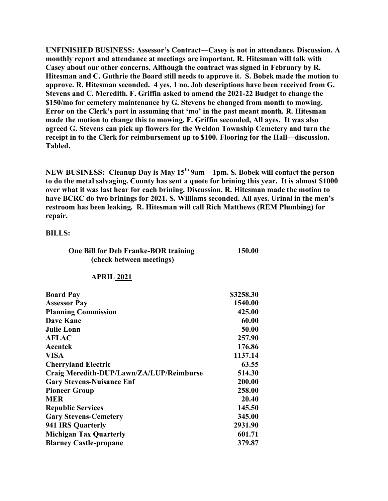**UNFINISHED BUSINESS: Assessor's Contract—Casey is not in attendance. Discussion. A monthly report and attendance at meetings are important. R. Hitesman will talk with Casey about our other concerns. Although the contract was signed in February by R. Hitesman and C. Guthrie the Board still needs to approve it. S. Bobek made the motion to approve. R. Hitesman seconded. 4 yes, 1 no. Job descriptions have been received from G. Stevens and C. Meredith. F. Griffin asked to amend the 2021-22 Budget to change the \$150/mo for cemetery maintenance by G. Stevens be changed from month to mowing. Error on the Clerk's part in assuming that 'mo' in the past meant month. R. Hitesman made the motion to change this to mowing. F. Griffin seconded, All ayes. It was also agreed G. Stevens can pick up flowers for the Weldon Township Cemetery and turn the receipt in to the Clerk for reimbursement up to \$100. Flooring for the Hall—discussion. Tabled.**

**NEW BUSINESS: Cleanup Day is May 15th 9am – 1pm. S. Bobek will contact the person to do the metal salvaging. County has sent a quote for brining this year. It is almost \$1000 over what it was last hear for each brining. Discussion. R. Hitesman made the motion to have BCRC do two brinings for 2021. S. Williams seconded. All ayes. Urinal in the men's restroom has been leaking. R. Hitesman will call Rich Matthews (REM Plumbing) for repair.**

## **BILLS:**

| One Bill for Deb Franke-BOR training | 150.00 |
|--------------------------------------|--------|
| (check between meetings)             |        |

### **APRIL 2021**

| <b>Board Pay</b>                         | \$3258.30 |
|------------------------------------------|-----------|
| <b>Assessor Pay</b>                      | 1540.00   |
| <b>Planning Commission</b>               | 425.00    |
| <b>Dave Kane</b>                         | 60.00     |
| <b>Julie Lonn</b>                        | 50.00     |
| <b>AFLAC</b>                             | 257.90    |
| Acentek                                  | 176.86    |
| <b>VISA</b>                              | 1137.14   |
| <b>Cherryland Electric</b>               | 63.55     |
| Craig Meredith-DUP/Lawn/ZA/LUP/Reimburse | 514.30    |
| <b>Gary Stevens-Nuisance Enf</b>         | 200.00    |
| <b>Pioneer Group</b>                     | 258.00    |
| <b>MER</b>                               | 20.40     |
| <b>Republic Services</b>                 | 145.50    |
| <b>Gary Stevens-Cemetery</b>             | 345.00    |
| 941 IRS Quarterly                        | 2931.90   |
| <b>Michigan Tax Quarterly</b>            | 601.71    |
| <b>Blarney Castle-propane</b>            | 379.87    |